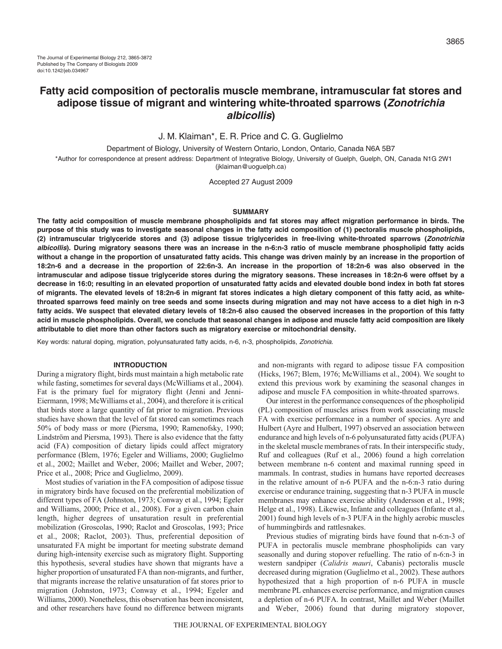# **Fatty acid composition of pectoralis muscle membrane, intramuscular fat stores and adipose tissue of migrant and wintering white-throated sparrows (Zonotrichia albicollis)**

J. M. Klaiman\*, E. R. Price and C. G. Guglielmo

Department of Biology, University of Western Ontario, London, Ontario, Canada N6A 5B7

\*Author for correspondence at present address: Department of Integrative Biology, University of Guelph, Guelph, ON, Canada N1G 2W1 (jklaiman@uoguelph.ca)

Accepted 27 August 2009

## **SUMMARY**

**The fatty acid composition of muscle membrane phospholipids and fat stores may affect migration performance in birds. The purpose of this study was to investigate seasonal changes in the fatty acid composition of (1) pectoralis muscle phospholipids, (2) intramuscular triglyceride stores and (3) adipose tissue triglycerides in free-living white-throated sparrows (Zonotrichia albicollis). During migratory seasons there was an increase in the n-6:n-3 ratio of muscle membrane phospholipid fatty acids without a change in the proportion of unsaturated fatty acids. This change was driven mainly by an increase in the proportion of 18:2n-6 and a decrease in the proportion of 22:6n-3. An increase in the proportion of 18:2n-6 was also observed in the intramuscular and adipose tissue triglyceride stores during the migratory seasons. These increases in 18:2n-6 were offset by a decrease in 16:0; resulting in an elevated proportion of unsaturated fatty acids and elevated double bond index in both fat stores of migrants. The elevated levels of 18:2n-6 in migrant fat stores indicates a high dietary component of this fatty acid, as whitethroated sparrows feed mainly on tree seeds and some insects during migration and may not have access to a diet high in n-3 fatty acids. We suspect that elevated dietary levels of 18:2n-6 also caused the observed increases in the proportion of this fatty acid in muscle phospholipids. Overall, we conclude that seasonal changes in adipose and muscle fatty acid composition are likely attributable to diet more than other factors such as migratory exercise or mitochondrial density.**

Key words: natural doping, migration, polyunsaturated fatty acids, n-6, n-3, phospholipids, Zonotrichia.

#### **INTRODUCTION**

During a migratory flight, birds must maintain a high metabolic rate while fasting, sometimes for several days (McWilliams et al., 2004). Fat is the primary fuel for migratory flight (Jenni and Jenni-Eiermann, 1998; McWilliams et al., 2004), and therefore it is critical that birds store a large quantity of fat prior to migration. Previous studies have shown that the level of fat stored can sometimes reach 50% of body mass or more (Piersma, 1990; Ramenofsky, 1990; Lindström and Piersma, 1993). There is also evidence that the fatty acid (FA) composition of dietary lipids could affect migratory performance (Blem, 1976; Egeler and Williams, 2000; Guglielmo et al., 2002; Maillet and Weber, 2006; Maillet and Weber, 2007; Price et al., 2008; Price and Guglielmo, 2009).

Most studies of variation in the FA composition of adipose tissue in migratory birds have focused on the preferential mobilization of different types of FA (Johnston, 1973; Conway et al., 1994; Egeler and Williams, 2000; Price et al., 2008). For a given carbon chain length, higher degrees of unsaturation result in preferential mobilization (Groscolas, 1990; Raclot and Groscolas, 1993; Price et al., 2008; Raclot, 2003). Thus, preferential deposition of unsaturated FA might be important for meeting substrate demand during high-intensity exercise such as migratory flight. Supporting this hypothesis, several studies have shown that migrants have a higher proportion of unsaturated FA than non-migrants, and further, that migrants increase the relative unsaturation of fat stores prior to migration (Johnston, 1973; Conway et al., 1994; Egeler and Williams, 2000). Nonetheless, this observation has been inconsistent, and other researchers have found no difference between migrants

and non-migrants with regard to adipose tissue FA composition (Hicks, 1967; Blem, 1976; McWilliams et al., 2004). We sought to extend this previous work by examining the seasonal changes in adipose and muscle FA composition in white-throated sparrows.

Our interest in the performance consequences of the phospholipid (PL) composition of muscles arises from work associating muscle FA with exercise performance in a number of species. Ayre and Hulbert (Ayre and Hulbert, 1997) observed an association between endurance and high levels of n-6 polyunsaturated fatty acids (PUFA) in the skeletal muscle membranes of rats. In their interspecific study, Ruf and colleagues (Ruf et al., 2006) found a high correlation between membrane n-6 content and maximal running speed in mammals. In contrast, studies in humans have reported decreases in the relative amount of n-6 PUFA and the n-6:n-3 ratio during exercise or endurance training, suggesting that n-3 PUFA in muscle membranes may enhance exercise ability (Andersson et al., 1998; Helge et al., 1998). Likewise, Infante and colleagues (Infante et al., 2001) found high levels of n-3 PUFA in the highly aerobic muscles of hummingbirds and rattlesnakes.

Previous studies of migrating birds have found that n-6:n-3 of PUFA in pectoralis muscle membrane phospholipids can vary seasonally and during stopover refuelling. The ratio of n-6:n-3 in western sandpiper (*Calidris mauri*, Cabanis) pectoralis muscle decreased during migration (Guglielmo et al., 2002). These authors hypothesized that a high proportion of n-6 PUFA in muscle membrane PL enhances exercise performance, and migration causes a depletion of n-6 PUFA. In contrast, Maillet and Weber (Maillet and Weber, 2006) found that during migratory stopover,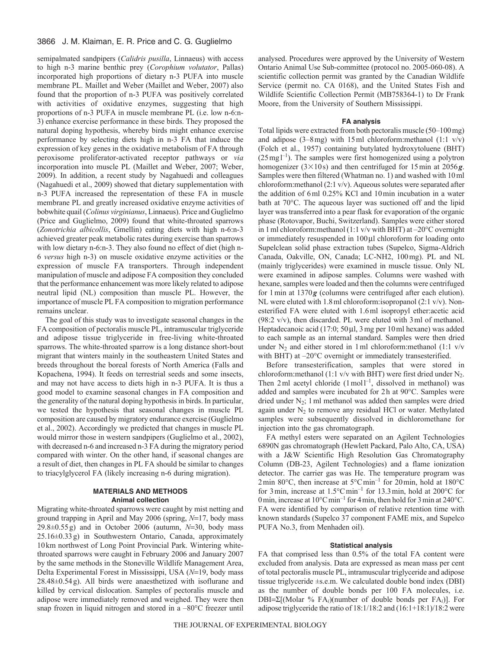## 3866 J. M. Klaiman, E. R. Price and C. G. Guglielmo

semipalmated sandpipers (*Calidris pusilla*, Linnaeus) with access to high n-3 marine benthic prey (*Corophium volutator*, Pallas) incorporated high proportions of dietary n-3 PUFA into muscle membrane PL. Maillet and Weber (Maillet and Weber, 2007) also found that the proportion of n-3 PUFA was positively correlated with activities of oxidative enzymes, suggesting that high proportions of n-3 PUFA in muscle membrane PL (i.e. low n-6:n-3) enhance exercise performance in these birds. They proposed the natural doping hypothesis, whereby birds might enhance exercise performance by selecting diets high in n-3 FA that induce the expression of key genes in the oxidative metabolism of FA through peroxisome proliferator-activated receptor pathways or *via* incorporation into muscle PL (Maillet and Weber, 2007; Weber, 2009). In addition, a recent study by Nagahuedi and colleagues (Nagahuedi et al., 2009) showed that dietary supplementation with n-3 PUFA increased the representation of these FA in muscle membrane PL and greatly increased oxidative enzyme activities of bobwhite quail (*Colinus virginianus*, Linnaeus). Price and Guglielmo (Price and Guglielmo, 2009) found that white-throated sparrows (*Zonotrichia albicollis*, Gmellin) eating diets with high n-6:n-3 achieved greater peak metabolic rates during exercise than sparrows with low dietary n-6:n-3. They also found no effect of diet (high n-6 *versus* high n-3) on muscle oxidative enzyme activities or the expression of muscle FA transporters. Through independent manipulation of muscle and adipose FA composition they concluded that the performance enhancement was more likely related to adipose neutral lipid (NL) composition than muscle PL. However, the importance of muscle PL FA composition to migration performance remains unclear.

The goal of this study was to investigate seasonal changes in the FA composition of pectoralis muscle PL, intramuscular triglyceride and adipose tissue triglyceride in free-living white-throated sparrows. The white-throated sparrow is a long distance short-bout migrant that winters mainly in the southeastern United States and breeds throughout the boreal forests of North America (Falls and Kopachena, 1994). It feeds on terrestrial seeds and some insects, and may not have access to diets high in n-3 PUFA. It is thus a good model to examine seasonal changes in FA composition and the generality of the natural doping hypothesis in birds. In particular, we tested the hypothesis that seasonal changes in muscle PL composition are caused by migratory endurance exercise (Guglielmo et al., 2002). Accordingly we predicted that changes in muscle PL would mirror those in western sandpipers (Guglielmo et al., 2002), with decreased n-6 and increased n-3 FA during the migratory period compared with winter. On the other hand, if seasonal changes are a result of diet, then changes in PL FA should be similar to changes to triacylglycerol FA (likely increasing n-6 during migration).

## **MATERIALS AND METHODS Animal collection**

Migrating white-throated sparrows were caught by mist netting and ground trapping in April and May 2006 (spring,  $N=17$ , body mass  $29.8\pm0.55$  g) and in October 2006 (autumn,  $N=30$ , body mass 25.16±0.33g) in Southwestern Ontario, Canada, approximately 10km northwest of Long Point Provincial Park. Wintering whitethroated sparrows were caught in February 2006 and January 2007 by the same methods in the Stoneville Wildlife Management Area, Delta Experimental Forest in Mississippi, USA ( $N=19$ , body mass 28.48±0.54g). All birds were anaesthetized with isoflurane and killed by cervical dislocation. Samples of pectoralis muscle and adipose were immediately removed and weighed. They were then snap frozen in liquid nitrogen and stored in a -80°C freezer until analysed. Procedures were approved by the University of Western Ontario Animal Use Sub-committee (protocol no. 2005-060-08). A scientific collection permit was granted by the Canadian Wildlife Service (permit no. CA 0168), and the United States Fish and Wildlife Scientific Collection Permit (MB758364-1) to Dr Frank Moore, from the University of Southern Mississippi.

#### **FA analysis**

Total lipids were extracted from both pectoralis muscle (50–100mg) and adipose  $(3-8$ mg) with 15ml chloroform:methanol  $(1:1 \text{ v/v})$ (Folch et al., 1957) containing butylated hydroxytoluene (BHT)  $(25 \text{ mg l}^{-1})$ . The samples were first homogenized using a polytron homogenizer  $(3 \times 10s)$  and then centrifuged for 15 min at 2056*g*. Samples were then filtered (Whatman no. 1) and washed with 10ml chloroform:methanol (2:1 v/v). Aqueous solutes were separated after the addition of 6ml 0.25% KCl and 10min incubation in a water bath at 70°C. The aqueous layer was suctioned off and the lipid layer was transferred into a pear flask for evaporation of the organic phase (Rotovapor, Buchi, Switzerland). Samples were either stored in 1ml chloroform:methanol (1:1 v/v with BHT) at –20°C overnight or immediately resuspended in 100µl chloroform for loading onto Supelclean solid phase extraction tubes (Supelco, Sigma-Aldrich Canada, Oakville, ON, Canada; LC-NH2, 100mg). PL and NL (mainly triglycerides) were examined in muscle tissue. Only NL were examined in adipose samples. Columns were washed with hexane, samples were loaded and then the columns were centrifuged for 1min at 1370*g* (columns were centrifuged after each elution). NL were eluted with 1.8ml chloroform:isopropanol (2:1 v/v). Nonesterified FA were eluted with 1.6ml isopropyl ether:acetic acid (98:2 v/v), then discarded. PL were eluted with 3ml of methanol. Heptadecanoic acid (17:0;  $50 \mu$ , 3 mg per 10 ml hexane) was added to each sample as an internal standard. Samples were then dried under  $N_2$  and either stored in 1 ml chloroform: methanol (1:1 v/v with BHT) at –20°C overnight or immediately transesterified.

Before transesterification, samples that were stored in chloroform: methanol (1:1 v/v with BHT) were first dried under  $N_2$ . Then 2 ml acetyl chloride  $(1 \text{ mol})^{-1}$ , dissolved in methanol) was added and samples were incubated for 2h at 90°C. Samples were dried under N2; 1ml methanol was added then samples were dried again under  $N_2$  to remove any residual HCl or water. Methylated samples were subsequently dissolved in dichloromethane for injection into the gas chromatograph.

FA methyl esters were separated on an Agilent Technologies 6890N gas chromatograph (Hewlett Packard, Palo Alto, CA, USA) with a J&W Scientific High Resolution Gas Chromatography Column (DB-23, Agilent Technologies) and a flame ionization detector. The carrier gas was He. The temperature program was 2min 80°C, then increase at 5°Cmin–1 for 20min, hold at 180°C for 3 min, increase at  $1.5^{\circ}$ Cmin<sup>-1</sup> for 13.3 min, hold at 200 $^{\circ}$ C for 0 min, increase at  $10^{\circ}$ Cmin<sup>-1</sup> for 4 min, then hold for 3 min at 240 $^{\circ}$ C. FA were identified by comparison of relative retention time with known standards (Supelco 37 component FAME mix, and Supelco PUFA No.3, from Menhaden oil).

## **Statistical analysis**

FA that comprised less than 0.5% of the total FA content were excluded from analysis. Data are expressed as mean mass per cent of total pectoralis muscle PL, intramuscular triglyceride and adipose tissue triglyceride ±s.e.m. We calculated double bond index (DBI) as the number of double bonds per 100 FA molecules, i.e.  $DBI = \Sigma[(Molar % FA<sub>i</sub>)(number of double bonds per FA<sub>i</sub>)].$  For adipose triglyceride the ratio of 18:1/18:2 and (16:1+18:1)/18:2 were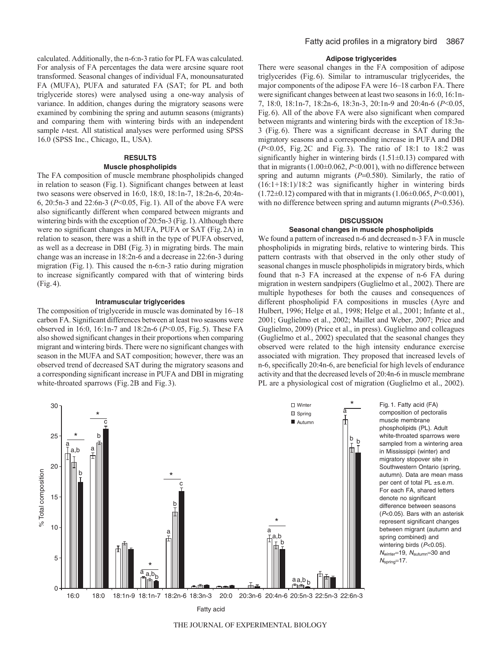calculated. Additionally, the n-6:n-3 ratio for PL FA was calculated. For analysis of FA percentages the data were arcsine square root transformed. Seasonal changes of individual FA, monounsaturated FA (MUFA), PUFA and saturated FA (SAT; for PL and both triglyceride stores) were analysed using a one-way analysis of variance. In addition, changes during the migratory seasons were examined by combining the spring and autumn seasons (migrants) and comparing them with wintering birds with an independent sample *t*-test. All statistical analyses were performed using SPSS 16.0 (SPSS Inc., Chicago, IL, USA).

## **RESULTS**

## **Muscle phospholipids**

The FA composition of muscle membrane phospholipids changed in relation to season (Fig.1). Significant changes between at least two seasons were observed in 16:0, 18:0, 18:1n-7, 18:2n-6, 20:4n-6, 20:5n-3 and 22:6n-3 (*P*<0.05, Fig.1). All of the above FA were also significantly different when compared between migrants and wintering birds with the exception of 20:5n-3 (Fig.1). Although there were no significant changes in MUFA, PUFA or SAT (Fig.2A) in relation to season, there was a shift in the type of PUFA observed, as well as a decrease in DBI (Fig.3) in migrating birds. The main change was an increase in 18:2n-6 and a decrease in 22:6n-3 during migration (Fig.1). This caused the n-6:n-3 ratio during migration to increase significantly compared with that of wintering birds (Fig.4).

#### **Intramuscular triglycerides**

The composition of triglyceride in muscle was dominated by 16–18 carbon FA. Significant differences between at least two seasons were observed in 16:0, 16:1n-7 and 18:2n-6 (*P*<0.05, Fig.5). These FA also showed significant changes in their proportions when comparing migrant and wintering birds. There were no significant changes with season in the MUFA and SAT composition; however, there was an observed trend of decreased SAT during the migratory seasons and a corresponding significant increase in PUFA and DBI in migrating white-throated sparrows (Fig. 2B and Fig. 3).

## **Adipose triglycerides**

There were seasonal changes in the FA composition of adipose triglycerides (Fig.6). Similar to intramuscular triglycerides, the major components of the adipose FA were 16–18 carbon FA. There were significant changes between at least two seasons in 16:0, 16:1n-7, 18:0, 18:1n-7, 18:2n-6, 18:3n-3, 20:1n-9 and 20:4n-6 (*P*<0.05, Fig.6). All of the above FA were also significant when compared between migrants and wintering birds with the exception of 18:3n-3 (Fig.6). There was a significant decrease in SAT during the migratory seasons and a corresponding increase in PUFA and DBI (*P*<0.05, Fig. 2C and Fig. 3). The ratio of 18:1 to 18:2 was significantly higher in wintering birds  $(1.51\pm0.13)$  compared with that in migrants (1.00±0.062, *P*<0.001), with no difference between spring and autumn migrants  $(P=0.580)$ . Similarly, the ratio of (16:1+18:1)/18:2 was significantly higher in wintering birds  $(1.72\pm0.12)$  compared with that in migrants  $(1.06\pm0.065, P<0.001)$ , with no difference between spring and autumn migrants  $(P=0.536)$ .

## **DISCUSSION**

## **Seasonal changes in muscle phospholipids**

We found a pattern of increased n-6 and decreased n-3 FA in muscle phospholipids in migrating birds, relative to wintering birds. This pattern contrasts with that observed in the only other study of seasonal changes in muscle phospholipids in migratory birds, which found that n-3 FA increased at the expense of n-6 FA during migration in western sandpipers (Guglielmo et al., 2002). There are multiple hypotheses for both the causes and consequences of different phospholipid FA compositions in muscles (Ayre and Hulbert, 1996; Helge et al., 1998; Helge et al., 2001; Infante et al., 2001; Guglielmo et al., 2002; Maillet and Weber, 2007; Price and Guglielmo, 2009) (Price et al., in press). Guglielmo and colleagues (Guglielmo et al., 2002) speculated that the seasonal changes they observed were related to the high intensity endurance exercise associated with migration. They proposed that increased levels of n-6, specifically 20:4n-6, are beneficial for high levels of endurance activity and that the decreased levels of 20:4n-6 in muscle membrane PL are a physiological cost of migration (Guglielmo et al., 2002).



Fig. 1. Fatty acid (FA) composition of pectoralis muscle membrane phospholipids (PL). Adult white-throated sparrows were sampled from a wintering area in Mississippi (winter) and migratory stopover site in Southwestern Ontario (spring, autumn). Data are mean mass per cent of total PL ±s.e.m. For each FA, shared letters denote no significant difference between seasons (P<0.05). Bars with an asterisk represent significant changes between migrant (autumn and spring combined) and wintering birds (P<0.05).  $N_{\text{winter}}$ =19,  $N_{\text{autumn}}$ =30 and  $N_{\text{spring}}=17$ .

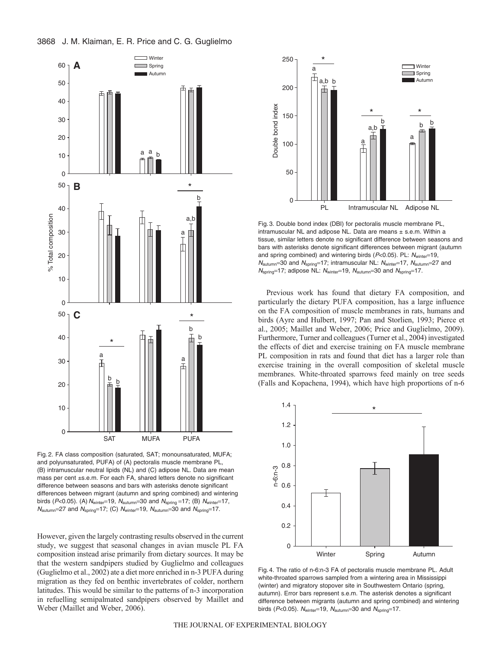



Fig. 2. FA class composition (saturated, SAT; monounsaturated, MUFA; and polyunsaturated, PUFA) of (A) pectoralis muscle membrane PL, (B) intramuscular neutral lipids (NL) and (C) adipose NL. Data are mean mass per cent ±s.e.m. For each FA, shared letters denote no significant difference between seasons and bars with asterisks denote significant differences between migrant (autumn and spring combined) and wintering birds (P<0.05). (A)  $N_{\text{winter}}$ =19,  $N_{\text{autumn}}$ =30 and  $N_{\text{spring}}$ =17; (B)  $N_{\text{winter}}$ =17,  $N_{\text{autumn}}$ =27 and  $N_{\text{spring}}$ =17; (C)  $N_{\text{winter}}$ =19,  $N_{\text{autumn}}$ =30 and  $N_{\text{spring}}$ =17.

However, given the largely contrasting results observed in the current study, we suggest that seasonal changes in avian muscle PL FA composition instead arise primarily from dietary sources. It may be that the western sandpipers studied by Guglielmo and colleagues (Guglielmo et al., 2002) ate a diet more enriched in n-3 PUFA during migration as they fed on benthic invertebrates of colder, northern latitudes. This would be similar to the patterns of n-3 incorporation in refuelling semipalmated sandpipers observed by Maillet and Weber (Maillet and Weber, 2006).



Fig. 3. Double bond index (DBI) for pectoralis muscle membrane PL, intramuscular NL and adipose NL. Data are means  $\pm$  s.e.m. Within a tissue, similar letters denote no significant difference between seasons and bars with asterisks denote significant differences between migrant (autumn and spring combined) and wintering birds ( $P<0.05$ ). PL:  $N_{\text{winter}}=19$ ,  $N_{\text{autumn}}$ =30 and  $N_{\text{spring}}$ =17; intramuscular NL:  $N_{\text{winter}}$ =17,  $N_{\text{autumn}}$ =27 and  $N_{spring}=17$ ; adipose NL:  $N_{winter}=19$ ,  $N_{autumn}=30$  and  $N_{spring}=17$ .

Previous work has found that dietary FA composition, and particularly the dietary PUFA composition, has a large influence on the FA composition of muscle membranes in rats, humans and birds (Ayre and Hulbert, 1997; Pan and Storlien, 1993; Pierce et al., 2005; Maillet and Weber, 2006; Price and Guglielmo, 2009). Furthermore, Turner and colleagues (Turner et al., 2004) investigated the effects of diet and exercise training on FA muscle membrane PL composition in rats and found that diet has a larger role than exercise training in the overall composition of skeletal muscle membranes. White-throated sparrows feed mainly on tree seeds (Falls and Kopachena, 1994), which have high proportions of n-6



Fig. 4. The ratio of n-6:n-3 FA of pectoralis muscle membrane PL. Adult white-throated sparrows sampled from a wintering area in Mississippi (winter) and migratory stopover site in Southwestern Ontario (spring, autumn). Error bars represent s.e.m. The asterisk denotes a significant difference between migrants (autumn and spring combined) and wintering birds ( $P<0.05$ ).  $N_{\text{winter}}=19$ ,  $N_{\text{autumn}}=30$  and  $N_{\text{spring}}=17$ .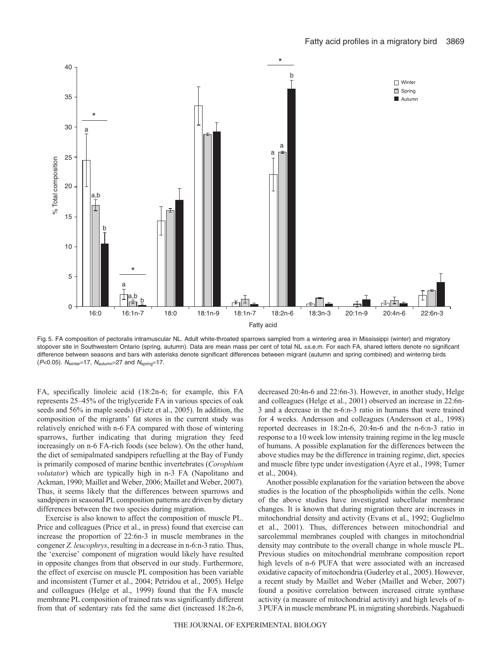

Fig. 5. FA composition of pectoralis intramuscular NL. Adult white-throated sparrows sampled from a wintering area in Mississippi (winter) and migratory stopover site in Southwestern Ontario (spring, autumn). Data are mean mass per cent of total NL ±s.e.m. For each FA, shared letters denote no significant difference between seasons and bars with asterisks denote significant differences between migrant (autumn and spring combined) and wintering birds ( $P<0.05$ ).  $N_{\text{winter}}=17$ ,  $N_{\text{autumn}}=27$  and  $N_{\text{spring}}=17$ .

FA, specifically linoleic acid (18:2n-6; for example, this FA represents 25–45% of the triglyceride FA in various species of oak seeds and 56% in maple seeds) (Fietz et al., 2005). In addition, the composition of the migrants' fat stores in the current study was relatively enriched with n-6 FA compared with those of wintering sparrows, further indicating that during migration they feed increasingly on n-6 FA-rich foods (see below). On the other hand, the diet of semipalmated sandpipers refuelling at the Bay of Fundy is primarily composed of marine benthic invertebrates (*Corophium volutator*) which are typically high in n-3 FA (Napolitano and Ackman, 1990; Maillet and Weber, 2006; Maillet and Weber, 2007). Thus, it seems likely that the differences between sparrows and sandpipers in seasonal PL composition patterns are driven by dietary differences between the two species during migration.

Exercise is also known to affect the composition of muscle PL. Price and colleagues (Price et al., in press) found that exercise can increase the proportion of 22:6n-3 in muscle membranes in the congener *Z. leucophrys*, resulting in a decrease in n-6:n-3 ratio. Thus, the 'exercise' component of migration would likely have resulted in opposite changes from that observed in our study. Furthermore, the effect of exercise on muscle PL composition has been variable and inconsistent (Turner et al., 2004; Petridou et al., 2005). Helge and colleagues (Helge et al., 1999) found that the FA muscle membrane PL composition of trained rats was significantly different from that of sedentary rats fed the same diet (increased 18:2n-6, decreased 20:4n-6 and 22:6n-3). However, in another study, Helge and colleagues (Helge et al., 2001) observed an increase in 22:6n-3 and a decrease in the n-6:n-3 ratio in humans that were trained for 4 weeks. Andersson and colleagues (Andersson et al., 1998) reported decreases in 18:2n-6, 20:4n-6 and the n-6:n-3 ratio in response to a 10 week low intensity training regime in the leg muscle of humans. A possible explanation for the differences between the above studies may be the difference in training regime, diet, species and muscle fibre type under investigation (Ayre et al., 1998; Turner et al., 2004).

Another possible explanation for the variation between the above studies is the location of the phospholipids within the cells. None of the above studies have investigated subcellular membrane changes. It is known that during migration there are increases in mitochondrial density and activity (Evans et al., 1992; Guglielmo et al., 2001). Thus, differences between mitochondrial and sarcolemmal membranes coupled with changes in mitochondrial density may contribute to the overall change in whole muscle PL. Previous studies on mitochondrial membrane composition report high levels of n-6 PUFA that were associated with an increased oxidative capacity of mitochondria (Guderley et al., 2005). However, a recent study by Maillet and Weber (Maillet and Weber, 2007) found a positive correlation between increased citrate synthase activity (a measure of mitochondrial activity) and high levels of n-3 PUFA in muscle membrane PL in migrating shorebirds. Nagahuedi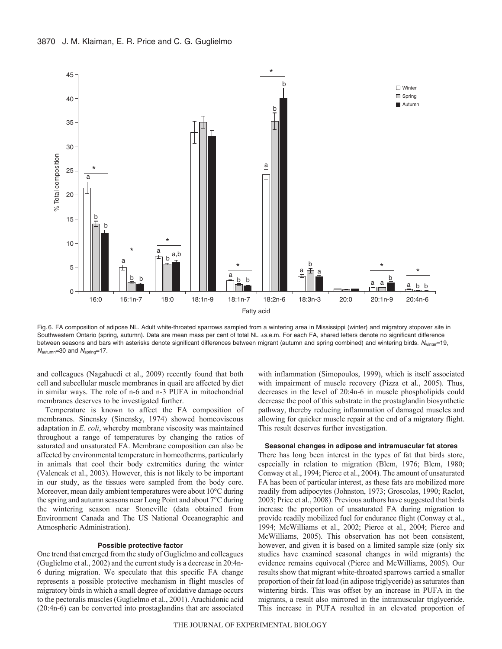

Fig. 6. FA composition of adipose NL. Adult white-throated sparrows sampled from a wintering area in Mississippi (winter) and migratory stopover site in Southwestern Ontario (spring, autumn). Data are mean mass per cent of total NL ±s.e.m. For each FA, shared letters denote no significant difference between seasons and bars with asterisks denote significant differences between migrant (autumn and spring combined) and wintering birds. Nwinter=19,  $N_{\text{autumn}}$ =30 and  $N_{\text{spring}}$ =17.

and colleagues (Nagahuedi et al., 2009) recently found that both cell and subcellular muscle membranes in quail are affected by diet in similar ways. The role of n-6 and n-3 PUFA in mitochondrial membranes deserves to be investigated further.

Temperature is known to affect the FA composition of membranes. Sinensky (Sinensky, 1974) showed homeoviscous adaptation in *E. coli*, whereby membrane viscosity was maintained throughout a range of temperatures by changing the ratios of saturated and unsaturated FA. Membrane composition can also be affected by environmental temperature in homeotherms, particularly in animals that cool their body extremities during the winter (Valencak et al., 2003). However, this is not likely to be important in our study, as the tissues were sampled from the body core. Moreover, mean daily ambient temperatures were about 10°C during the spring and autumn seasons near Long Point and about 7°C during the wintering season near Stoneville (data obtained from Environment Canada and The US National Oceanographic and Atmospheric Administration).

## **Possible protective factor**

One trend that emerged from the study of Guglielmo and colleagues (Guglielmo et al., 2002) and the current study is a decrease in 20:4n-6 during migration. We speculate that this specific FA change represents a possible protective mechanism in flight muscles of migratory birds in which a small degree of oxidative damage occurs to the pectoralis muscles (Guglielmo et al., 2001). Arachidonic acid (20:4n-6) can be converted into prostaglandins that are associated with inflammation (Simopoulos, 1999), which is itself associated with impairment of muscle recovery (Pizza et al., 2005). Thus, decreases in the level of 20:4n-6 in muscle phospholipids could decrease the pool of this substrate in the prostaglandin biosynthetic pathway, thereby reducing inflammation of damaged muscles and allowing for quicker muscle repair at the end of a migratory flight. This result deserves further investigation.

## **Seasonal changes in adipose and intramuscular fat stores**

There has long been interest in the types of fat that birds store, especially in relation to migration (Blem, 1976; Blem, 1980; Conway et al., 1994; Pierce et al., 2004). The amount of unsaturated FA has been of particular interest, as these fats are mobilized more readily from adipocytes (Johnston, 1973; Groscolas, 1990; Raclot, 2003; Price et al., 2008). Previous authors have suggested that birds increase the proportion of unsaturated FA during migration to provide readily mobilized fuel for endurance flight (Conway et al., 1994; McWilliams et al., 2002; Pierce et al., 2004; Pierce and McWilliams, 2005). This observation has not been consistent, however, and given it is based on a limited sample size (only six studies have examined seasonal changes in wild migrants) the evidence remains equivocal (Pierce and McWilliams, 2005). Our results show that migrant white-throated sparrows carried a smaller proportion of their fat load (in adipose triglyceride) as saturates than wintering birds. This was offset by an increase in PUFA in the migrants, a result also mirrored in the intramuscular triglyceride. This increase in PUFA resulted in an elevated proportion of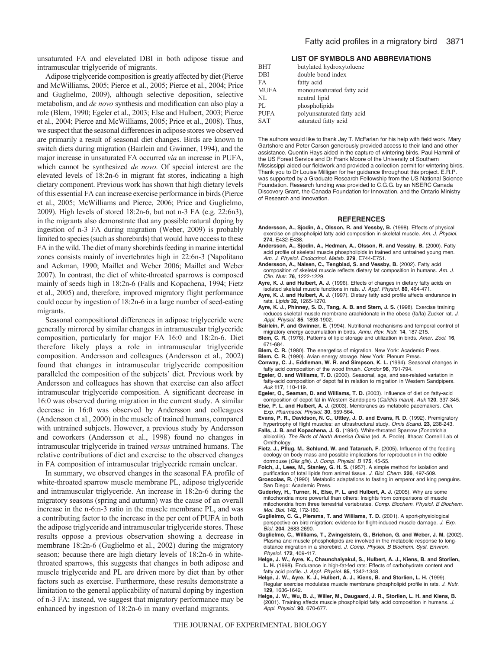unsaturated FA and elevelated DBI in both adipose tissue and intramuscular triglyceride of migrants.

Adipose triglyceride composition is greatly affected by diet (Pierce and McWilliams, 2005; Pierce et al., 2005; Pierce et al., 2004; Price and Guglielmo, 2009), although selective deposition, selective metabolism, and *de novo* synthesis and modification can also play a role (Blem, 1990; Egeler et al., 2003; Else and Hulbert, 2003; Pierce et al., 2004; Pierce and McWilliams, 2005; Price et al., 2008). Thus, we suspect that the seasonal differences in adipose stores we observed are primarily a result of seasonal diet changes. Birds are known to switch diets during migration (Bairlein and Gwinner, 1994), and the major increase in unsaturated FA occurred *via* an increase in PUFA, which cannot be synthesized *de novo*. Of special interest are the elevated levels of 18:2n-6 in migrant fat stores, indicating a high dietary component. Previous work has shown that high dietary levels of this essential FA can increase exercise performance in birds (Pierce et al., 2005; McWilliams and Pierce, 2006; Price and Guglielmo, 2009). High levels of stored 18:2n-6, but not n-3 FA (e.g. 22:6n3), in the migrants also demonstrate that any possible natural doping by ingestion of n-3 FA during migration (Weber, 2009) is probably limited to species (such as shorebirds) that would have access to these FA in the wild. The diet of many shorebirds feeding in marine intertidal zones consists mainly of invertebrates high in 22:6n-3 (Napolitano and Ackman, 1990; Maillet and Weber 2006; Maillet and Weber 2007). In contrast, the diet of white-throated sparrows is composed mainly of seeds high in 18:2n-6 (Falls and Kopachena, 1994; Fietz et al., 2005) and, therefore, improved migratory flight performance could occur by ingestion of 18:2n-6 in a large number of seed-eating migrants.

Seasonal compositional differences in adipose triglyceride were generally mirrored by similar changes in intramuscular triglyceride composition, particularly for major FA 16:0 and 18:2n-6. Diet therefore likely plays a role in intramuscular triglyceride composition. Andersson and colleagues (Andersson et al., 2002) found that changes in intramuscular triglyceride composition paralleled the composition of the subjects' diet. Previous work by Andersson and colleagues has shown that exercise can also affect intramuscular triglyceride composition. A significant decrease in 16:0 was observed during migration in the current study. A similar decrease in 16:0 was observed by Andersson and colleagues (Andersson et al., 2000) in the muscle of trained humans, compared with untrained subjects. However, a previous study by Andersson and coworkers (Andersson et al., 1998) found no changes in intramuscular triglyceride in trained *versus* untrained humans. The relative contributions of diet and exercise to the observed changes in FA composition of intramuscular triglyceride remain unclear.

In summary, we observed changes in the seasonal FA profile of white-throated sparrow muscle membrane PL, adipose triglyceride and intramuscular triglyceride. An increase in 18:2n-6 during the migratory seasons (spring and autumn) was the cause of an overall increase in the n-6:n-3 ratio in the muscle membrane PL, and was a contributing factor to the increase in the per cent of PUFA in both the adipose triglyceride and intramuscular triglyceride stores. These results oppose a previous observation showing a decrease in membrane 18:2n-6 (Guglielmo et al., 2002) during the migratory season; because there are high dietary levels of 18:2n-6 in whitethroated sparrows, this suggests that changes in both adipose and muscle triglyceride and PL are driven more by diet than by other factors such as exercise. Furthermore, these results demonstrate a limitation to the general applicability of natural doping by ingestion of n-3 FA; instead, we suggest that migratory performance may be enhanced by ingestion of 18:2n-6 in many overland migrants.

## **LIST OF SYMBOLS AND ABBREVIATIONS**

| <b>BHT</b>  | butylated hydroxytoluene   |
|-------------|----------------------------|
| DBI         | double bond index          |
| FA          | fatty acid                 |
| <b>MUFA</b> | monounsaturated fatty acid |
| NL          | neutral lipid              |
| PI.         | phospholipids              |
| <b>PUFA</b> | polyunsaturated fatty acid |
| <b>SAT</b>  | saturated fatty acid       |

The authors would like to thank Jay T. McFarlan for his help with field work. Mary Gartshore and Peter Carson generously provided access to their land and other assistance. Quentin Hays aided in the capture of wintering birds. Paul Hammil of the US Forest Service and Dr Frank Moore of the University of Southern Mississippi aided our fieldwork and provided a collection permit for wintering birds. Thank you to Dr Louise Milligan for her guidance throughout this project. E.R.P. was supported by a Graduate Research Fellowship from the US National Science Foundation. Research funding was provided to C.G.G. by an NSERC Canada Discovery Grant, the Canada Foundation for Innovation, and the Ontario Ministry of Research and Innovation.

#### **REFERENCES**

- **Andersson, A., Sjodin, A., Olsson, R. and Vessby, B.** (1998). Effects of physical exercise on phospholipid fatty acid composition in skeletal muscle. Am. J. Physiol. **274**, E432-E438.
- **Andersson, A., Sjodin, A., Hedman, A., Olsson, R. and Vessby, B.** (2000). Fatty acid profile of skeletal muscle phospholipids in trained and untrained young men. Am. J. Physiol. Endocrinol. Metab. **279**, E744-E751.
- **Andersson, A., Nalsen, C., Tengblad, S. and Vessby, B.** (2002). Fatty acid composition of skeletal muscle reflects dietary fat composition in humans. Am. J. Clin. Nutr. **76**, 1222-1229.
- **Ayre, K. J. and Hulbert, A. J.** (1996). Effects of changes in dietary fatty acids on isolated skeletal muscle functions in rats. J. Appl. Physiol. **80**, 464-471.
- **Ayre, K. J. and Hulbert, A. J.** (1997). Dietary fatty acid profile affects endurance in rats. Lipids **32**, 1265-1270.
- **Ayre, K. J., Phinney, S. D., Tang, A. B. and Stern, J. S.** (1998). Exercise training reduces skeletal muscle membrane arachidonate in the obese (fa/fa) Zucker rat. J. Appl. Physiol. **85**, 1898-1902.
- **Bairlein, F. and Gwinner, E.** (1994). Nutritional mechanisms and temporal control of migratory energy accumulation in birds. Annu. Rev. Nutr. **14**, 187-215.
- **Blem, C. R.** (1976). Patterns of lipid storage and utilization in birds. Amer. Zool. **16**, 671-684.
- **Blem, C. R.** (1980). The energetics of migration. New York: Academic Press.
- **Blem, C. R.** (1990). Avian energy storage. New York: Plenum Press.
- **Conway, C. J., Eddleman, W. R. and Simpson, K. L.** (1994). Seasonal changes in fatty acid composition of the wood thrush. Condor **96**, 791-794.
- **Egeler, O. and Williams, T. D.** (2000). Seasonal, age, and sex-related variation in fatty-acid composition of depot fat in relation to migration in Western Sandpipers. Auk **117**, 110-119.
- **Egeler, O., Seaman, D. and Williams, T. D.** (2003). Influence of diet on fatty-acid
- composition of depot fat in Western Sandpipers (Calidris marui). Auk **120**, 337-345. **Else, P. L. and Hulbert, A. J.** (2003). Membranes as metabolic pacemakers. Clin. Exp. Pharmacol. Physiol. **30**, 559-564.
- **Evans, P. R., Davidson, N. C., Uttley, J. D. and Evans, R. D.** (1992). Premigratory hypertrophy of flight muscles: an ultrastructural study. Ornis Scand. **23**, 238-243.
- **Falls, J. B. and Kopachena, J. G.** (1994). White-throated Sparrow (Zonotrichia albicollis). The Birds of North America Online (ed. A. Poole). Ithaca: Cornell Lab of Ornithology.
- **Fietz, J., Pflug, M., Schlund, W. and Tataruch, F.** (2005). Influence of the feeding ecology on body mass and possible implications for reproduction in the edible dormouse (Glis glis). J. Comp. Physiol. B **175**, 45-55.
- **Folch, J., Lees, M., Stanley, G. H. S.** (1957). A simple method for isolation and purification of total lipids from animal tissue. J. Biol. Chem. **226**, 497-509.
- **Groscolas, R.** (1990). Metabolic adaptations to fasting in emperor and king penguins. San Diego: Academic Press.
- **Guderley, H., Turner, N., Else, P. L. and Hulbert, A. J.** (2005). Why are some mitochondria more powerful than others: Insights from comparisons of muscle mitochondria from three terrestrial vertebrates. Comp. Biochem. Physiol. B Biochem. Mol. Biol. **142**, 172-180.
- **Guglielmo, C. G., Piersma, T. and Williams, T. D.** (2001). A sport-physiological perspective on bird migration: evidence for flight-induced muscle damage. J. Exp. Biol. **204**, 2683-2690.
- **Guglielmo, C., Williams, T., Zwingelstein, G., Brichon, G. and Weber, J. M.** (2002). Plasma and muscle phospholipids are involved in the metabolic response to longdistance migration in a shorebird. J. Comp. Physiol. B Biochem. Syst. Environ. Physiol. **172**, 409-417.
- **Helge, J. W., Ayre, K., Chaunchaiyakul, S., Hulbert, A. J., Kiens, B. and Storlien, L. H.** (1998). Endurance in high-fat-fed rats: Effects of carbohydrate content and fatty acid profile. J. Appl. Physiol. **85**, 1342-1348.
- **Helge, J. W., Ayre, K. J., Hulbert, A. J., Kiens, B. and Storlien, L. H.** (1999). Regular exercise modulates muscle membrane phospholipid profile in rats. J. Nutr. **129**, 1636-1642.
- **Helge, J. W., Wu, B. J., Willer, M., Daugaard, J. R., Storlien, L. H. and Kiens, B.** (2001). Training affects muscle phospholipid fatty acid composition in humans. J. Appl. Physiol. **90**, 670-677.